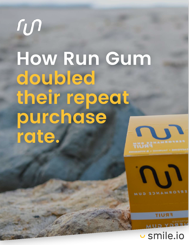# run **How Run Gum doubled their repeat purchase rate.**





u smile.io

**FRUIT**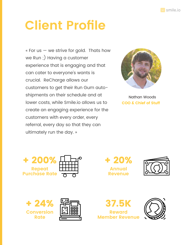

## **Client Profile**

 $\kappa$  For us  $-$  we strive for gold. Thats how we Run ;) Having a customer experience that is engaging and that can cater to everyone's wants is crucial. ReCharge allows our customers to get their Run Gum autoshipments on their schedule and at lower costs, while Smile.io allows us to create an engaging experience for the customers with every order, every referral, every day so that they can ultimately run the day. »



Nathan Woods **COO & Chief of Stuff**













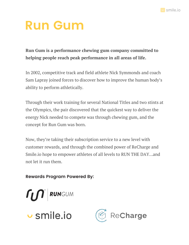

#### **Run Gum**

**Run Gum is a performance chewing gum company committed to helping people reach peak performance in all areas of life.**

In 2002, competitive track and field athlete Nick Symmonds and coach Sam Lapray joined forces to discover how to improve the human body's ability to perform athletically.

Through their work training for several National Titles and two stints at the Olympics, the pair discovered that the quickest way to deliver the energy Nick needed to compete was through chewing gum, and the concept for Run Gum was born.

Now, they're taking their subscription service to a new level with customer rewards, and through the combined power of ReCharge and Smile.io hope to empower athletes of all levels to RUN THE DAY…and not let it run them.

**Rewards Program Powered By:**



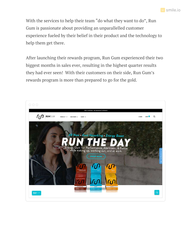

With the services to help their team "do what they want to do", Run Gum is passionate about providing an unparallelled customer experience fueled by their belief in their product and the technology to help them get there.

After launching their rewards program, Run Gum experienced their two biggest months in sales ever, resulting in the highest quarter results they had ever seen! With their customers on their side, Run Gum's rewards program is more than prepared to go for the gold.

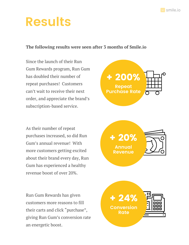

#### **Results**

#### **The following results were seen after 3 months of Smile.io**

Since the launch of their Run Gum Rewards program, Run Gum has doubled their number of repeat purchases! Customers can't wait to receive their next order, and appreciate the brand's subscription-based service.

As their number of repeat purchases increased, so did Run Gum's annual revenue! With more customers getting excited about their brand every day, Run Gum has experienced a healthy revenue boost of over 20%.

Run Gum Rewards has given customers more reasons to fill their carts and click "purchase", giving Run Gum's conversion rate an energetic boost.

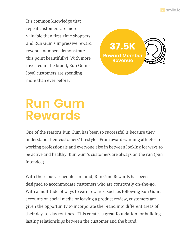smile.io

It's common knowledge that repeat customers are more valuable than first-time shoppers, and Run Gum's impressive reward revenue numbers demonstrate this point beautifully! With more invested in the brand, Run Gum's loyal customers are spending more than ever before.



#### **Run Gum Rewards**

One of the reasons Run Gum has been so successful is because they understand their customers' lifestyle. From award-winning athletes to working professionals and everyone else in between looking for ways to be active and healthy, Run Gum's customers are always on the run (pun intended).

With these busy schedules in mind, Run Gum Rewards has been designed to accommodate customers who are constantly on-the-go. With a multitude of ways to earn rewards, such as following Run Gum's accounts on social media or leaving a product review, customers are given the opportunity to incorporate the brand into different areas of their day-to-day routines. This creates a great foundation for building lasting relationships between the customer and the brand.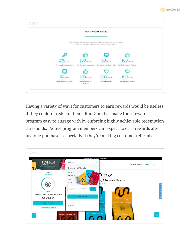



Having a variety of ways for customers to earn rewards would be useless if they couldn't redeem them. Run Gum has made their rewards program easy to engage with by enforcing highly achievable redemption thresholds. Active program members can expect to earn rewards after just one purchase - especially if they're making customer referrals.

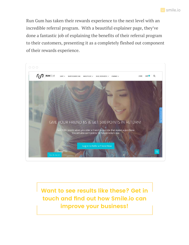

Run Gum has taken their rewards experience to the next level with an incredible referral program. With a beautiful explainer page, they've done a fantastic job of explaining the benefits of their referral program to their customers, presenting it as a completely fleshed out component of their rewards experience.



**Want to see results like these? Get in touch and find out how Smile.io can improve your business!**